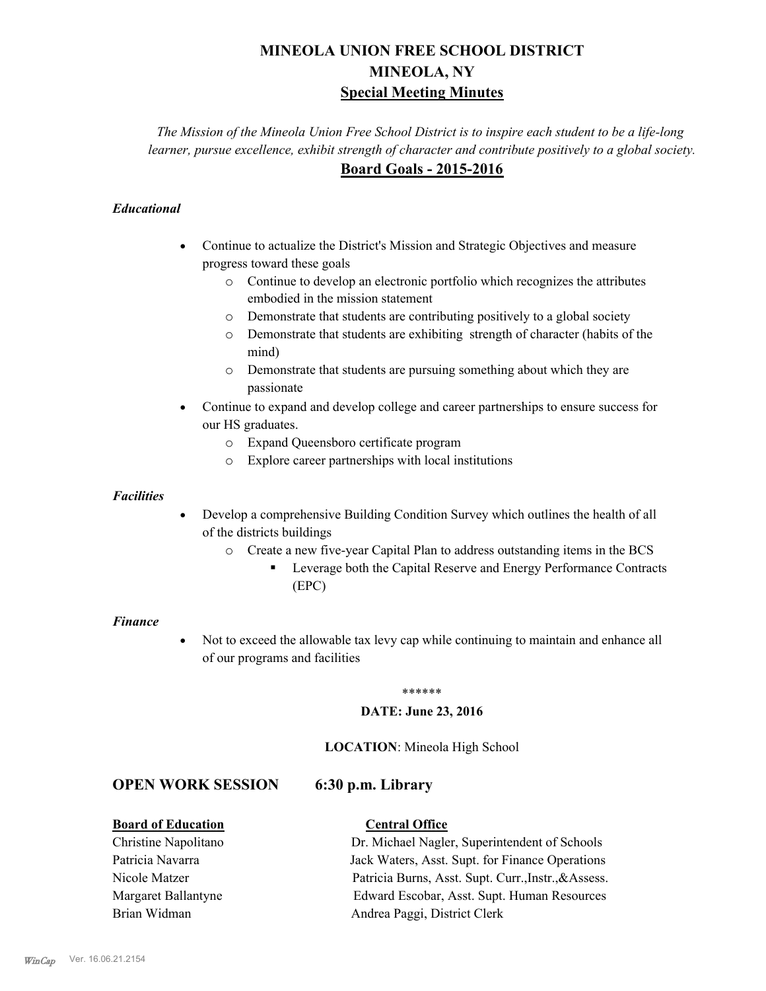# **MINEOLA UNION FREE SCHOOL DISTRICT MINEOLA, NY Special Meeting Minutes**

*The Mission of the Mineola Union Free School District is to inspire each student to be a life-long learner, pursue excellence, exhibit strength of character and contribute positively to a global society.* **Board Goals - 2015-2016**

### *Educational*

- · Continue to actualize the District's Mission and Strategic Objectives and measure progress toward these goals
	- o Continue to develop an electronic portfolio which recognizes the attributes embodied in the mission statement
	- o Demonstrate that students are contributing positively to a global society
	- o Demonstrate that students are exhibiting strength of character (habits of the mind)
	- o Demonstrate that students are pursuing something about which they are passionate
- Continue to expand and develop college and career partnerships to ensure success for our HS graduates.
	- o Expand Queensboro certificate program
	- o Explore career partnerships with local institutions

### *Facilities*

- Develop a comprehensive Building Condition Survey which outlines the health of all of the districts buildings
	- o Create a new five-year Capital Plan to address outstanding items in the BCS
		- § Leverage both the Capital Reserve and Energy Performance Contracts (EPC)

### *Finance*

• Not to exceed the allowable tax levy cap while continuing to maintain and enhance all of our programs and facilities

### \*\*\*\*\*\*

### **DATE: June 23, 2016**

### **LOCATION**: Mineola High School

### **OPEN WORK SESSION 6:30 p.m. Library**

### **Board of Education Central Office**

Christine Napolitano Dr. Michael Nagler, Superintendent of Schools Patricia Navarra Jack Waters, Asst. Supt. for Finance Operations Nicole Matzer Patricia Burns, Asst. Supt. Curr.,Instr.,&Assess. Margaret Ballantyne Edward Escobar, Asst. Supt. Human Resources Brian Widman **Andrea Paggi, District Clerk**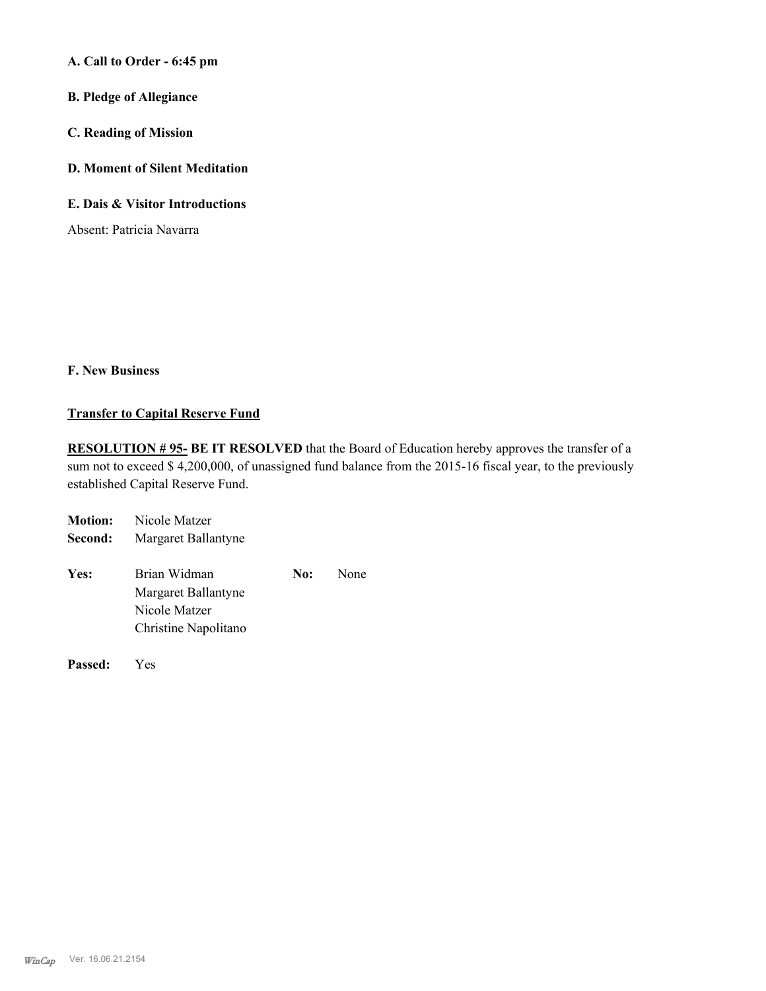**A. Call to Order - 6:45 pm**

- **B. Pledge of Allegiance**
- **C. Reading of Mission**
- **D. Moment of Silent Meditation**
- **E. Dais & Visitor Introductions**

Absent: Patricia Navarra

### **F. New Business**

### **Transfer to Capital Reserve Fund**

**RESOLUTION # 95- BE IT RESOLVED** that the Board of Education hereby approves the transfer of a sum not to exceed \$ 4,200,000, of unassigned fund balance from the 2015-16 fiscal year, to the previously established Capital Reserve Fund.

| <b>Motion:</b> | Nicole Matzer                                               |  |      |
|----------------|-------------------------------------------------------------|--|------|
| Second:        | Margaret Ballantyne                                         |  |      |
| Yes:           | Brian Widman<br>No:<br>Margaret Ballantyne<br>Nicole Matzer |  | None |
|                | Christine Napolitano                                        |  |      |

**Passed:** Yes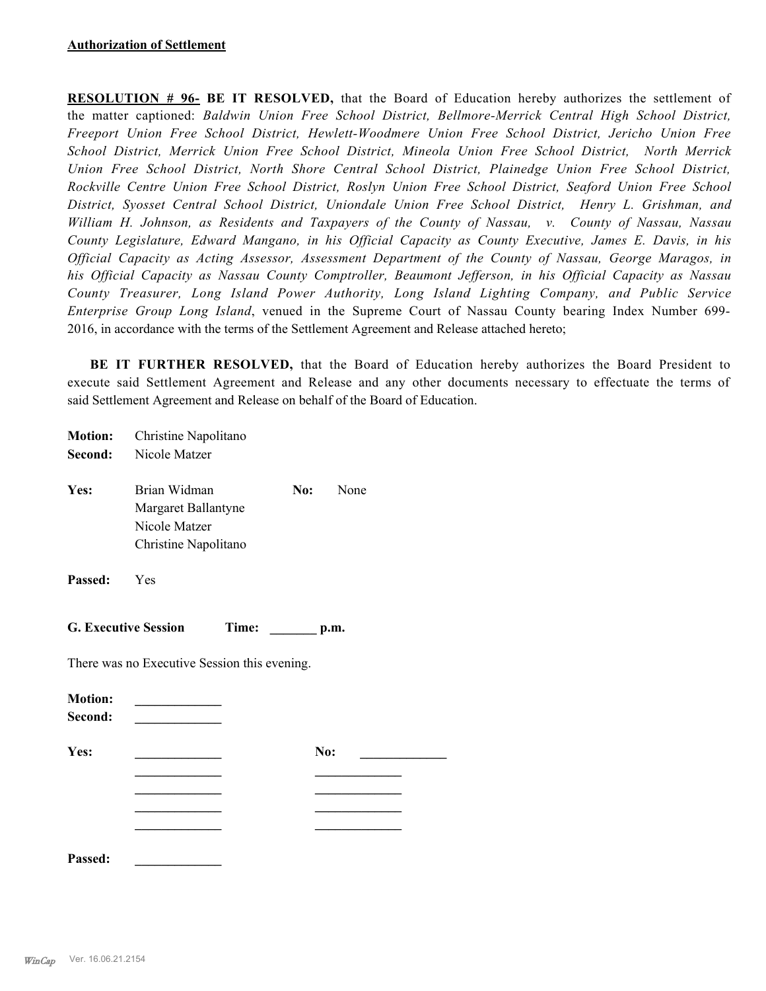**RESOLUTION # 96- BE IT RESOLVED,** that the Board of Education hereby authorizes the settlement of the matter captioned: *Baldwin Union Free School District, Bellmore-Merrick Central High School District, Freeport Union Free School District, Hewlett-Woodmere Union Free School District, Jericho Union Free School District, Merrick Union Free School District, Mineola Union Free School District, North Merrick Union Free School District, North Shore Central School District, Plainedge Union Free School District, Rockville Centre Union Free School District, Roslyn Union Free School District, Seaford Union Free School District, Syosset Central School District, Uniondale Union Free School District, Henry L. Grishman, and William H. Johnson, as Residents and Taxpayers of the County of Nassau, v. County of Nassau, Nassau County Legislature, Edward Mangano, in his Official Capacity as County Executive, James E. Davis, in his Official Capacity as Acting Assessor, Assessment Department of the County of Nassau, George Maragos, in his Official Capacity as Nassau County Comptroller, Beaumont Jefferson, in his Official Capacity as Nassau County Treasurer, Long Island Power Authority, Long Island Lighting Company, and Public Service Enterprise Group Long Island*, venued in the Supreme Court of Nassau County bearing Index Number 699- 2016, in accordance with the terms of the Settlement Agreement and Release attached hereto;

BE IT FURTHER RESOLVED, that the Board of Education hereby authorizes the Board President to execute said Settlement Agreement and Release and any other documents necessary to effectuate the terms of said Settlement Agreement and Release on behalf of the Board of Education.

| <b>Motion:</b>            | Christine Napolitano                                                         |                       |     |      |
|---------------------------|------------------------------------------------------------------------------|-----------------------|-----|------|
| Second:                   | Nicole Matzer                                                                |                       |     |      |
| Yes:                      | Brian Widman<br>Margaret Ballantyne<br>Nicole Matzer<br>Christine Napolitano |                       | No: | None |
| Passed:                   | Yes                                                                          |                       |     |      |
|                           | <b>G. Executive Session</b>                                                  | Time: __________ p.m. |     |      |
|                           | There was no Executive Session this evening.                                 |                       |     |      |
| <b>Motion:</b><br>Second: | <u> 1989 - Johann John Harry Barnett, mars a</u>                             |                       |     |      |
| Yes:                      | the control of the control of the control of                                 |                       | No: |      |
|                           |                                                                              |                       |     |      |
|                           |                                                                              |                       |     |      |
|                           |                                                                              |                       |     |      |
| Passed:                   |                                                                              |                       |     |      |